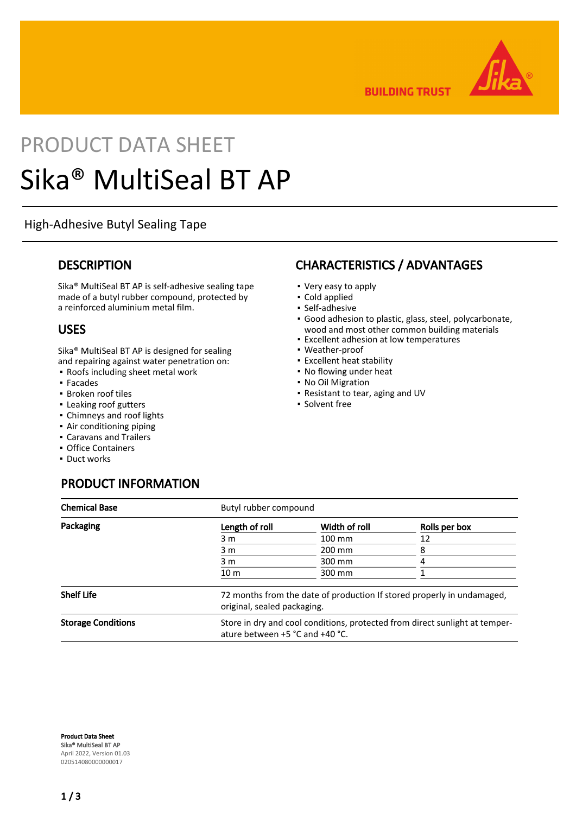

**BUILDING TRUST** 

# PRODUCT DATA SHEET Sika® MultiSeal BT AP

# High-Adhesive Butyl Sealing Tape

#### **DESCRIPTION**

Sika® MultiSeal BT AP is self-adhesive sealing tape made of a butyl rubber compound, protected by a reinforced aluminium metal film.

## USES

Sika® MultiSeal BT AP is designed for sealing and repairing against water penetration on:

- Roofs including sheet metal work
- Facades
- Broken roof tiles
- Leaking roof gutters
- Chimneys and roof lights
- **Air conditioning piping**
- Caravans and Trailers
- Office Containers
- Duct works

# PRODUCT INFORMATION

#### Chemical Base Butyl rubber compound Packaging **Packaging COVID-2018** Length of roll Width of roll Rolls per box 3 m 100 mm 12 3 m 200 mm 8 3 m 300 mm 4 10 m 300 mm 1 Shelf Life **1980** T2 months from the date of production If stored properly in undamaged, original, sealed packaging. Storage Conditions Store in dry and cool conditions, protected from direct sunlight at temperature between +5 °C and +40 °C.

Product Data Sheet Sika® MultiSeal BT AP April 2022, Version 01.03 020514080000000017

## CHARACTERISTICS / ADVANTAGES

- Very easy to apply
- Cold applied
- Self-adhesive
- Good adhesion to plastic, glass, steel, polycarbonate, wood and most other common building materials
- Excellent adhesion at low temperatures
- Weather-proof
- Excellent heat stability
- No flowing under heat
- No Oil Migration
- Resistant to tear, aging and UV
- **· Solvent free**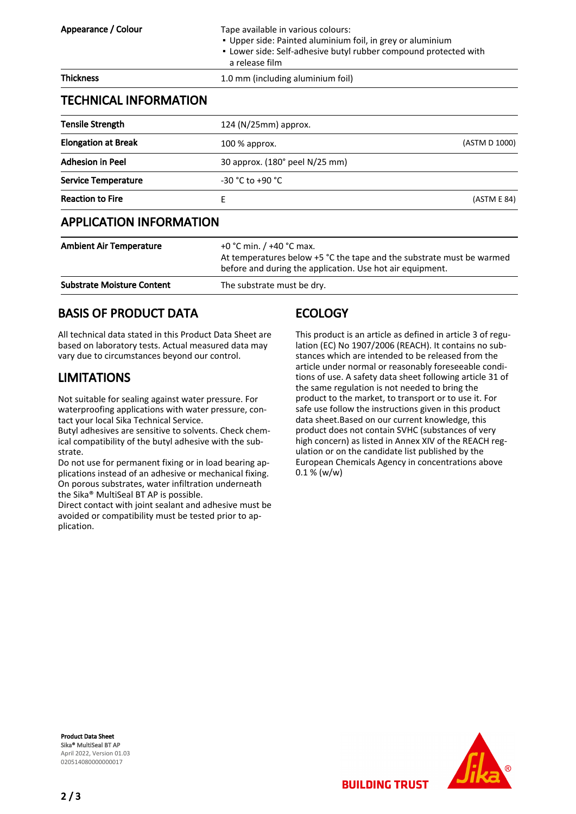| <b>Tensile Strength</b>    | 124 (N/25mm) approx.           |               |
|----------------------------|--------------------------------|---------------|
| <b>Elongation at Break</b> | $100\%$ approx.                | (ASTM D 1000) |
| <b>Adhesion in Peel</b>    | 30 approx. (180° peel N/25 mm) |               |
| <b>Service Temperature</b> | $-30 °C$ to $+90 °C$           |               |
| <b>Reaction to Fire</b>    | F                              | (ASTM E 84)   |

# APPLICATION INFORMATION

| <b>Ambient Air Temperature</b>    | +0 °C min. $/$ +40 °C max.<br>At temperatures below +5 °C the tape and the substrate must be warmed<br>before and during the application. Use hot air equipment. |
|-----------------------------------|------------------------------------------------------------------------------------------------------------------------------------------------------------------|
| <b>Substrate Moisture Content</b> | The substrate must be dry.                                                                                                                                       |

# BASIS OF PRODUCT DATA

All technical data stated in this Product Data Sheet are based on laboratory tests. Actual measured data may vary due to circumstances beyond our control.

# LIMITATIONS

Not suitable for sealing against water pressure. For waterproofing applications with water pressure, contact your local Sika Technical Service.

Butyl adhesives are sensitive to solvents. Check chemical compatibility of the butyl adhesive with the substrate.

Do not use for permanent fixing or in load bearing applications instead of an adhesive or mechanical fixing. On porous substrates, water infiltration underneath the Sika® MultiSeal BT AP is possible.

Direct contact with joint sealant and adhesive must be avoided or compatibility must be tested prior to application.

# **ECOLOGY**

This product is an article as defined in article 3 of regulation (EC) No 1907/2006 (REACH). It contains no substances which are intended to be released from the article under normal or reasonably foreseeable conditions of use. A safety data sheet following article 31 of the same regulation is not needed to bring the product to the market, to transport or to use it. For safe use follow the instructions given in this product data sheet.Based on our current knowledge, this product does not contain SVHC (substances of very high concern) as listed in Annex XIV of the REACH regulation or on the candidate list published by the European Chemicals Agency in concentrations above 0.1 % (w/w)

**BUILDING TRUST** 

Product Data Sheet Sika® MultiSeal BT AP April 2022, Version 01.03 020514080000000017